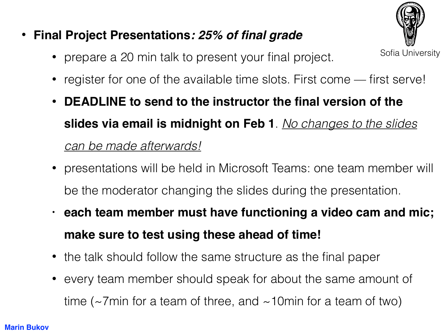## • **Final Project Presentations***: 25% of final grade*

Sofia University

- prepare a 20 min talk to present your final project.
- register for one of the available time slots. First come first serve!
- **DEADLINE to send to the instructor the final version of the slides via email is midnight on Feb 1**. *No changes to the slides can be made afterwards!*
- presentations will be held in Microsoft Teams: one team member will be the moderator changing the slides during the presentation.
- **• each team member must have functioning a video cam and mic; make sure to test using these ahead of time!**
- the talk should follow the same structure as the final paper
- every team member should speak for about the same amount of time ( $\sim$ 7min for a team of three, and  $\sim$ 10min for a team of two)

## **Marin Bukov**